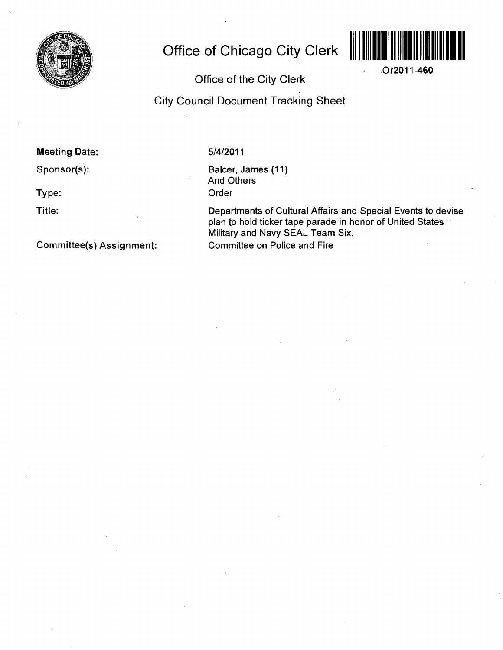

# **Office of Chicago City Clerk**



**Or2011-460** 

## **Office of the City Clerk**

**City Council Document Tracking Sheet** 

### **Meeting Date:**

**Sponsor(s):** 

**Type:** 

**Title:** 

5/4/2011

Balcer, James (11) And Others Order

Departments of Cultural Affairs and Special Events to devise plan to hold ticker tape parade in honor of United States Military and Navy SEAL Team Six. Committee on Police and Fire

**Committee(s) Assignment:**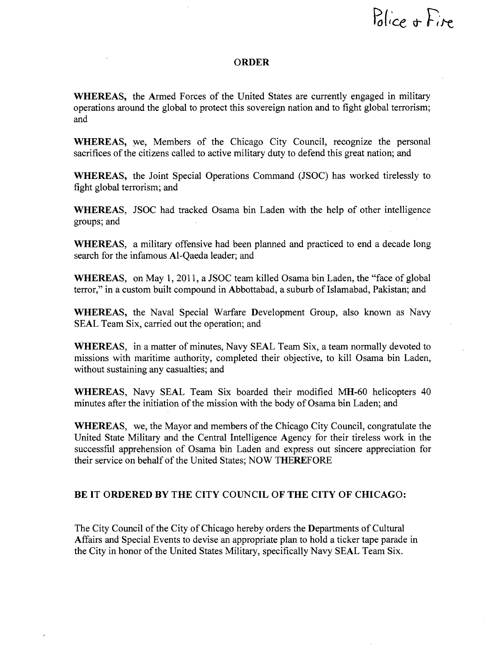Police + Fire

#### **ORDER**

WHEREAS, the Armed Forces of the United States are currently engaged in military operations around the global to protect this sovereign nation and to fight global terrorism; and

WHEREAS, we. Members of the Chicago City Council, recognize the personal sacrifices of the citizens called to active military duty to defend this great nation; and

WHEREAS, the Joint Special Operations Command (JSOC) has worked tirelessly to fight global terrorism; and

WHEREAS, JSOC had tracked Osama bin Laden with the help of other intelligence groups; and

WHEREAS, a military offensive had been planned and practiced to end a decade long search for the infamous Al-Qaeda leader; and

WHEREAS, on May 1, 2011, a JSOC team killed Osama bin Laden, the "face of global terror," in a custom built compound in Abbottabad, a suburb of Islamabad, Pakistan; and

WHEREAS, the Naval Special Warfare Development Group, also known as Navy SEAL Team Six, carried out the operation; and

WHEREAS, in a matter of minutes, Navy SEAL Team Six, a team normally devoted to missions with maritime authority, completed their objective, to kill Osama bin Laden, without sustaining any casualties; and

WHEREAS, Navy SEAL Team Six boarded their modified MH-60 helicopters 40 minutes after the initiation of the mission with the body of Osama bin Laden; and

WHEREAS, we, the Mayor and members of the Chicago City Council, congratulate the United State Military and the Central Intelligence Agency for their tireless work in the successfiil apprehension of Osama bin Laden and express out sincere appreciation for their service on behalf of the United States; NOW THEREFORE

#### **BE IT ORDERED BY THE CITY COUNCIL OF THE CITY OF CHICAGO:**

The City Council of the City of Chicago hereby orders the Departments of Cultural Affairs and Special Events to devise an appropriate plan to hold a ticker tape parade in the City in honor of the United States Military, specifically Navy SEAL Team Six.